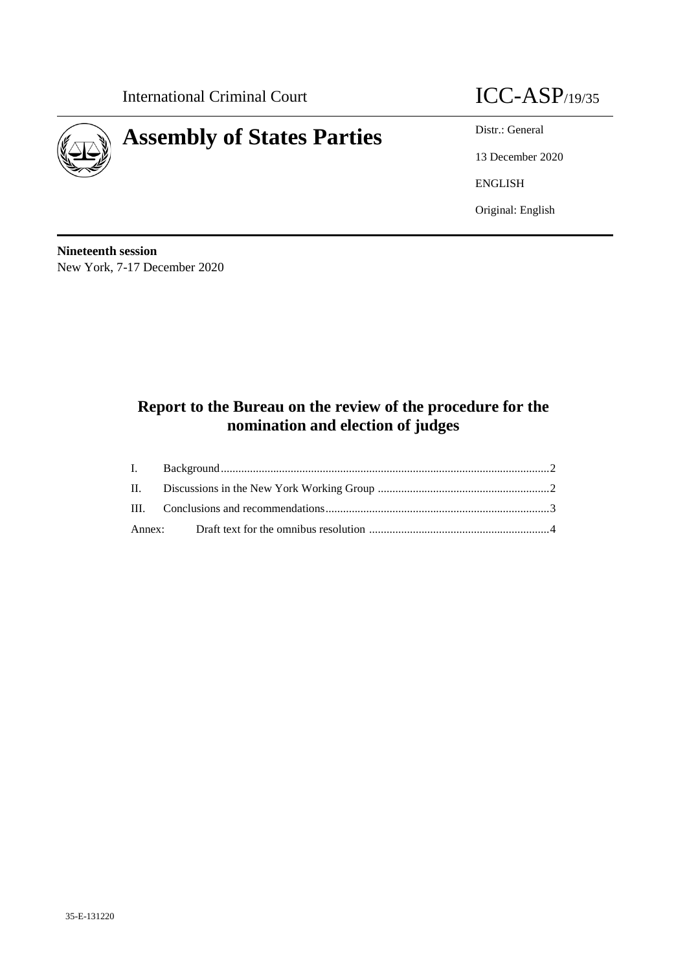International Criminal Court **ICC-ASP**/19/35



13 December 2020 ENGLISH Original: English

**Nineteenth session** New York, 7-17 December 2020

# **Report to the Bureau on the review of the procedure for the nomination and election of judges**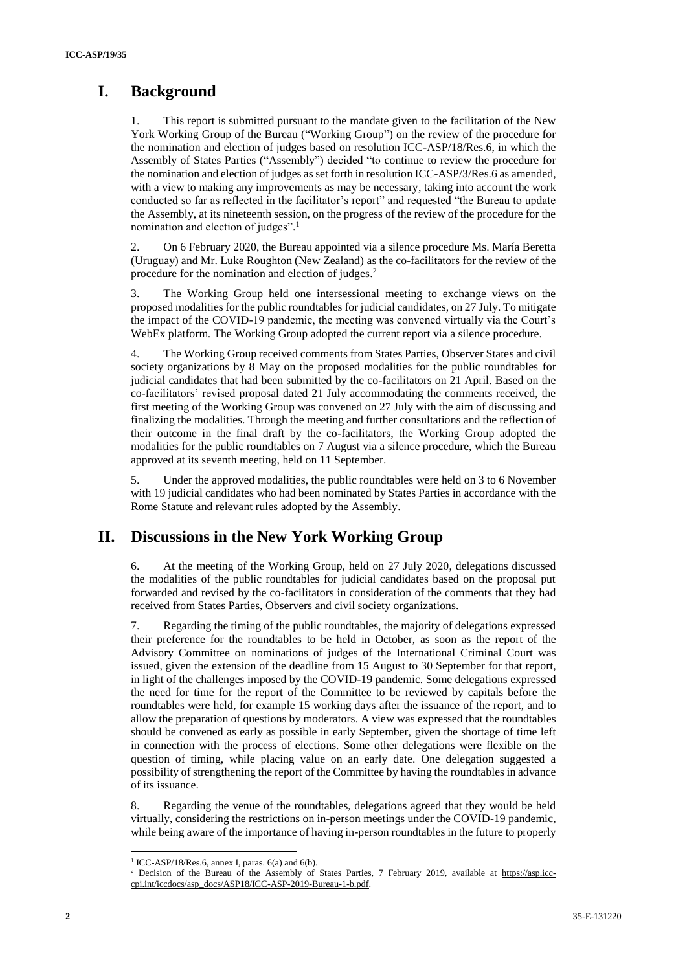## **I. Background**

This report is submitted pursuant to the mandate given to the facilitation of the New York Working Group of the Bureau ("Working Group") on the review of the procedure for the nomination and election of judges based on resolution ICC-ASP/18/Res.6, in which the Assembly of States Parties ("Assembly") decided "to continue to review the procedure for the nomination and election of judges as set forth in resolution ICC-ASP/3/Res.6 as amended, with a view to making any improvements as may be necessary, taking into account the work conducted so far as reflected in the facilitator's report" and requested "the Bureau to update the Assembly, at its nineteenth session, on the progress of the review of the procedure for the nomination and election of judges". 1

2. On 6 February 2020, the Bureau appointed via a silence procedure Ms. María Beretta (Uruguay) and Mr. Luke Roughton (New Zealand) as the co-facilitators for the review of the procedure for the nomination and election of judges.<sup>2</sup>

3. The Working Group held one intersessional meeting to exchange views on the proposed modalities for the public roundtables for judicial candidates, on 27 July. To mitigate the impact of the COVID-19 pandemic, the meeting was convened virtually via the Court's WebEx platform. The Working Group adopted the current report via a silence procedure.

4. The Working Group received comments from States Parties, Observer States and civil society organizations by 8 May on the proposed modalities for the public roundtables for judicial candidates that had been submitted by the co-facilitators on 21 April. Based on the co-facilitators' revised proposal dated 21 July accommodating the comments received, the first meeting of the Working Group was convened on 27 July with the aim of discussing and finalizing the modalities. Through the meeting and further consultations and the reflection of their outcome in the final draft by the co-facilitators, the Working Group adopted the modalities for the public roundtables on 7 August via a silence procedure, which the Bureau approved at its seventh meeting, held on 11 September.

5. Under the approved modalities, the public roundtables were held on 3 to 6 November with 19 judicial candidates who had been nominated by States Parties in accordance with the Rome Statute and relevant rules adopted by the Assembly.

### **II. Discussions in the New York Working Group**

6. At the meeting of the Working Group, held on 27 July 2020, delegations discussed the modalities of the public roundtables for judicial candidates based on the proposal put forwarded and revised by the co-facilitators in consideration of the comments that they had received from States Parties, Observers and civil society organizations.

7. Regarding the timing of the public roundtables, the majority of delegations expressed their preference for the roundtables to be held in October, as soon as the report of the Advisory Committee on nominations of judges of the International Criminal Court was issued, given the extension of the deadline from 15 August to 30 September for that report, in light of the challenges imposed by the COVID-19 pandemic. Some delegations expressed the need for time for the report of the Committee to be reviewed by capitals before the roundtables were held, for example 15 working days after the issuance of the report, and to allow the preparation of questions by moderators. A view was expressed that the roundtables should be convened as early as possible in early September, given the shortage of time left in connection with the process of elections. Some other delegations were flexible on the question of timing, while placing value on an early date. One delegation suggested a possibility of strengthening the report of the Committee by having the roundtables in advance of its issuance.

8. Regarding the venue of the roundtables, delegations agreed that they would be held virtually, considering the restrictions on in-person meetings under the COVID-19 pandemic, while being aware of the importance of having in-person roundtables in the future to properly

 1 ICC-ASP/18/Res.6, annex I, paras. 6(a) and 6(b).

<sup>&</sup>lt;sup>2</sup> Decision of the Bureau of the Assembly of States Parties, 7 February 2019, available at [https://asp.icc](https://asp.icc-cpi.int/iccdocs/asp_docs/ASP18/ICC-ASP-2019-Bureau-1-b.pdf)[cpi.int/iccdocs/asp\\_docs/ASP18/ICC-ASP-2019-Bureau-1-b.pdf.](https://asp.icc-cpi.int/iccdocs/asp_docs/ASP18/ICC-ASP-2019-Bureau-1-b.pdf)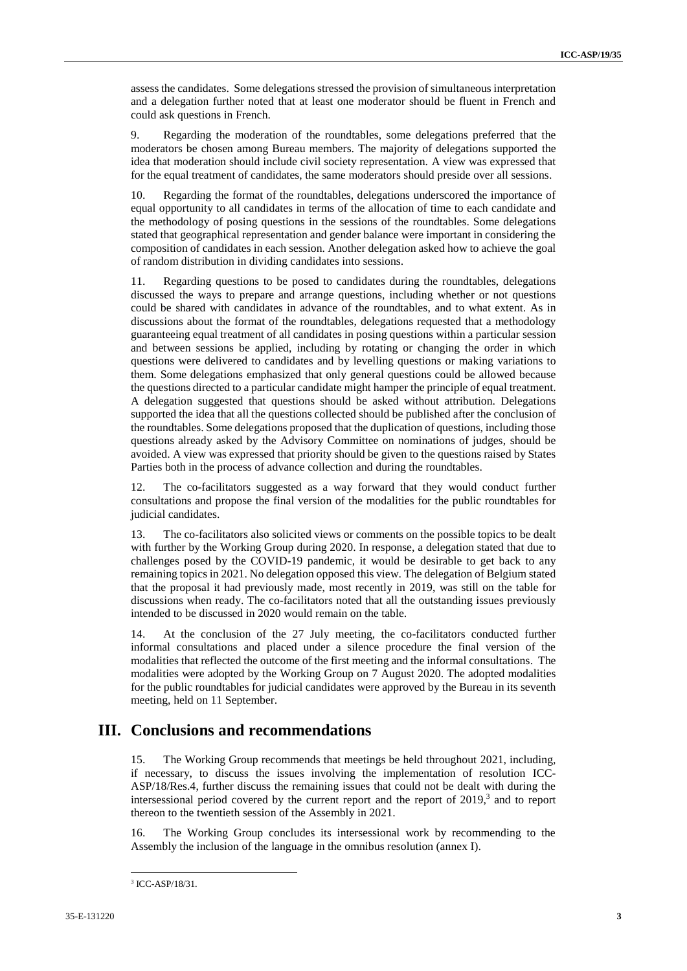assess the candidates. Some delegations stressed the provision of simultaneous interpretation and a delegation further noted that at least one moderator should be fluent in French and could ask questions in French.

9. Regarding the moderation of the roundtables, some delegations preferred that the moderators be chosen among Bureau members. The majority of delegations supported the idea that moderation should include civil society representation. A view was expressed that for the equal treatment of candidates, the same moderators should preside over all sessions.

10. Regarding the format of the roundtables, delegations underscored the importance of equal opportunity to all candidates in terms of the allocation of time to each candidate and the methodology of posing questions in the sessions of the roundtables. Some delegations stated that geographical representation and gender balance were important in considering the composition of candidates in each session. Another delegation asked how to achieve the goal of random distribution in dividing candidates into sessions.

11. Regarding questions to be posed to candidates during the roundtables, delegations discussed the ways to prepare and arrange questions, including whether or not questions could be shared with candidates in advance of the roundtables, and to what extent. As in discussions about the format of the roundtables, delegations requested that a methodology guaranteeing equal treatment of all candidates in posing questions within a particular session and between sessions be applied, including by rotating or changing the order in which questions were delivered to candidates and by levelling questions or making variations to them. Some delegations emphasized that only general questions could be allowed because the questions directed to a particular candidate might hamper the principle of equal treatment. A delegation suggested that questions should be asked without attribution. Delegations supported the idea that all the questions collected should be published after the conclusion of the roundtables. Some delegations proposed that the duplication of questions, including those questions already asked by the Advisory Committee on nominations of judges, should be avoided. A view was expressed that priority should be given to the questions raised by States Parties both in the process of advance collection and during the roundtables.

12. The co-facilitators suggested as a way forward that they would conduct further consultations and propose the final version of the modalities for the public roundtables for judicial candidates.

The co-facilitators also solicited views or comments on the possible topics to be dealt with further by the Working Group during 2020. In response, a delegation stated that due to challenges posed by the COVID-19 pandemic, it would be desirable to get back to any remaining topics in 2021. No delegation opposed this view. The delegation of Belgium stated that the proposal it had previously made, most recently in 2019, was still on the table for discussions when ready. The co-facilitators noted that all the outstanding issues previously intended to be discussed in 2020 would remain on the table.

14. At the conclusion of the 27 July meeting, the co-facilitators conducted further informal consultations and placed under a silence procedure the final version of the modalities that reflected the outcome of the first meeting and the informal consultations. The modalities were adopted by the Working Group on 7 August 2020. The adopted modalities for the public roundtables for judicial candidates were approved by the Bureau in its seventh meeting, held on 11 September.

#### **III. Conclusions and recommendations**

15. The Working Group recommends that meetings be held throughout 2021, including, if necessary, to discuss the issues involving the implementation of resolution ICC-ASP/18/Res.4, further discuss the remaining issues that could not be dealt with during the intersessional period covered by the current report and the report of 2019, 3 and to report thereon to the twentieth session of the Assembly in 2021.

16. The Working Group concludes its intersessional work by recommending to the Assembly the inclusion of the language in the omnibus resolution (annex I).

 $\overline{a}$ 3 ICC-ASP/18/31.